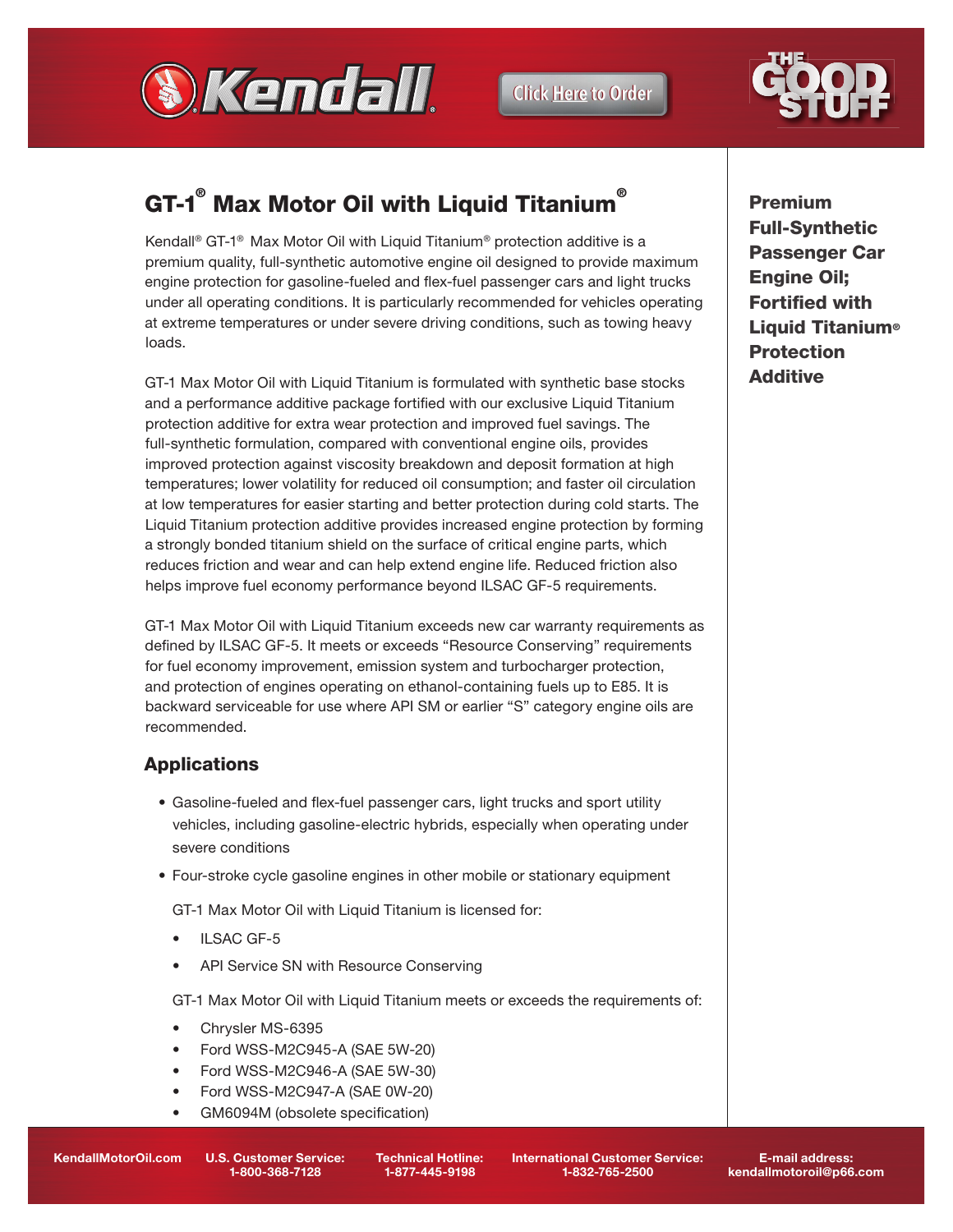

**Click Here to Order** 



# GT-1 $^{\circ}$  Max Motor Oil with Liquid Titanium $^{\circ}$

Kendall® GT-1® Max Motor Oil with Liquid Titanium® protection additive is a premium quality, full-synthetic automotive engine oil designed to provide maximum engine protection for gasoline-fueled and flex-fuel passenger cars and light trucks under all operating conditions. It is particularly recommended for vehicles operating at extreme temperatures or under severe driving conditions, such as towing heavy loads.

GT-1 Max Motor Oil with Liquid Titanium is formulated with synthetic base stocks and a performance additive package fortified with our exclusive Liquid Titanium protection additive for extra wear protection and improved fuel savings. The full-synthetic formulation, compared with conventional engine oils, provides improved protection against viscosity breakdown and deposit formation at high temperatures; lower volatility for reduced oil consumption; and faster oil circulation at low temperatures for easier starting and better protection during cold starts. The Liquid Titanium protection additive provides increased engine protection by forming a strongly bonded titanium shield on the surface of critical engine parts, which reduces friction and wear and can help extend engine life. Reduced friction also helps improve fuel economy performance beyond ILSAC GF-5 requirements.

GT-1 Max Motor Oil with Liquid Titanium exceeds new car warranty requirements as defined by ILSAC GF-5. It meets or exceeds "Resource Conserving" requirements for fuel economy improvement, emission system and turbocharger protection, and protection of engines operating on ethanol-containing fuels up to E85. It is backward serviceable for use where API SM or earlier "S" category engine oils are recommended.

## **Applications**

- Gasoline-fueled and flex-fuel passenger cars, light trucks and sport utility vehicles, including gasoline-electric hybrids, especially when operating under severe conditions
- Four-stroke cycle gasoline engines in other mobile or stationary equipment

GT-1 Max Motor Oil with Liquid Titanium is licensed for:

- ILSAC GF-5
- API Service SN with Resource Conserving

GT-1 Max Motor Oil with Liquid Titanium meets or exceeds the requirements of:

- Chrysler MS-6395
- Ford WSS-M2C945-A (SAE 5W-20)
- Ford WSS-M2C946-A (SAE 5W-30)
- Ford WSS-M2C947-A (SAE 0W-20)
- GM6094M (obsolete specification)

Premium Full-Synthetic Passenger Car Engine Oil; **Fortified with Liquid Titanium® Protection** Additive

KendallMotorOil.com U.S. Customer Service:

1-800-368-7128

Technical Hotline: 1-877-445-9198

International Customer Service: 1-832-765-2500

E-mail address: kendallmotoroil@p66.com